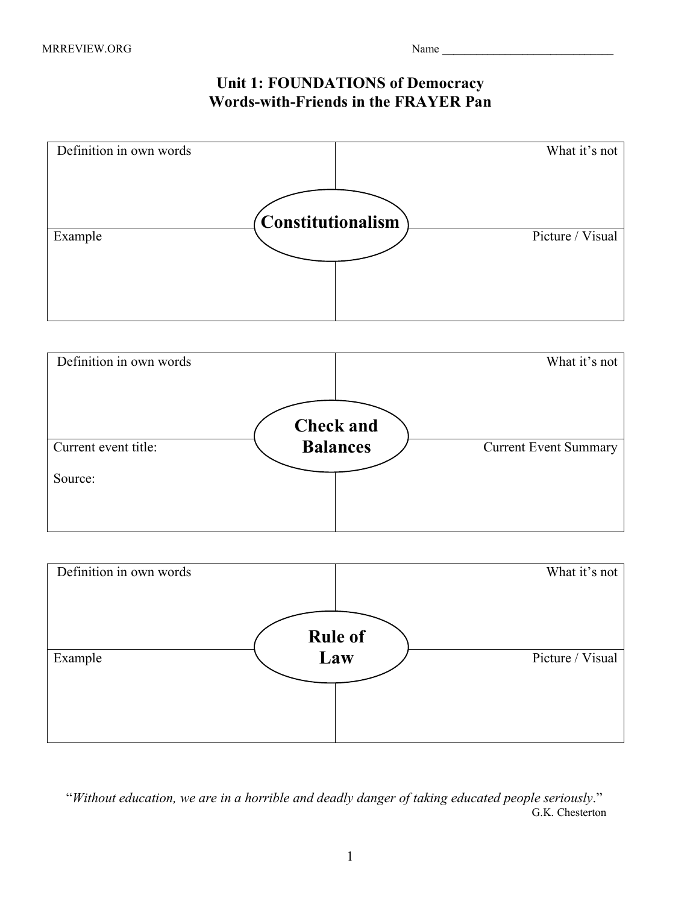## **Unit 1: FOUNDATIONS of Democracy Words-with-Friends in the FRAYER Pan**







 "*Without education, we are in a horrible and deadly danger of taking educated people seriously*." G.K. Chesterton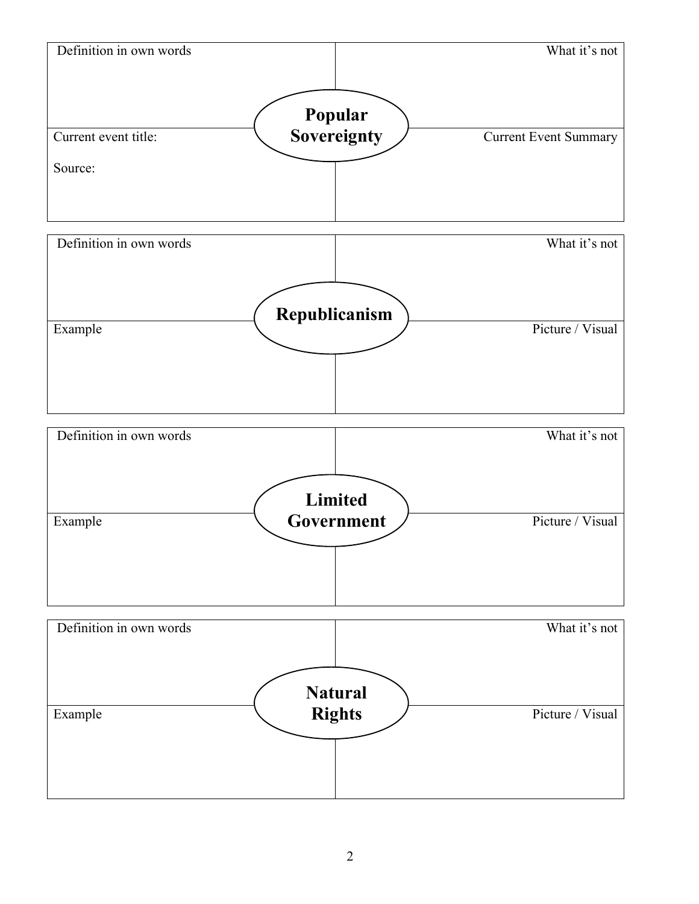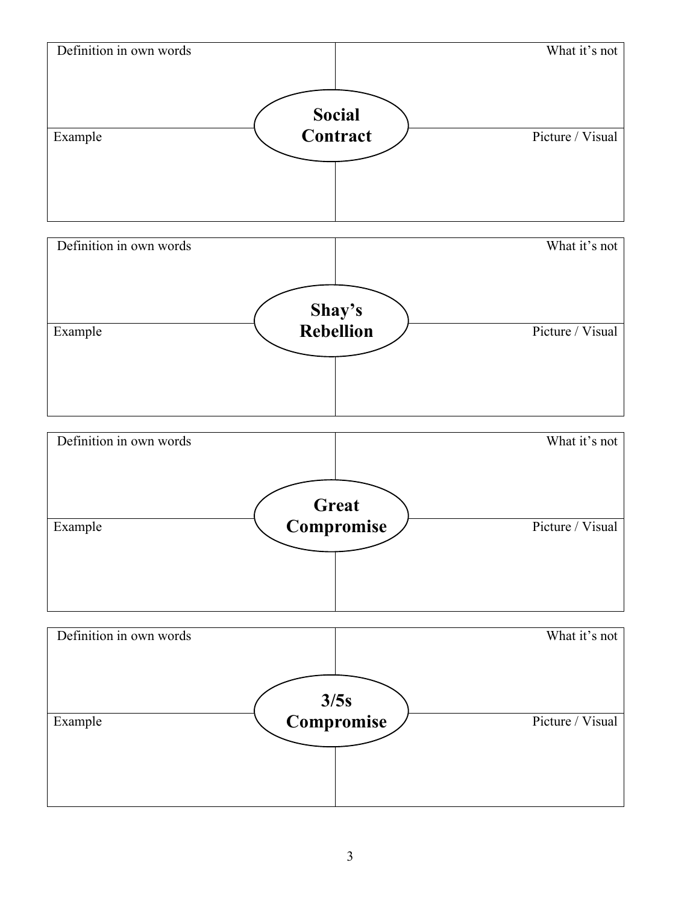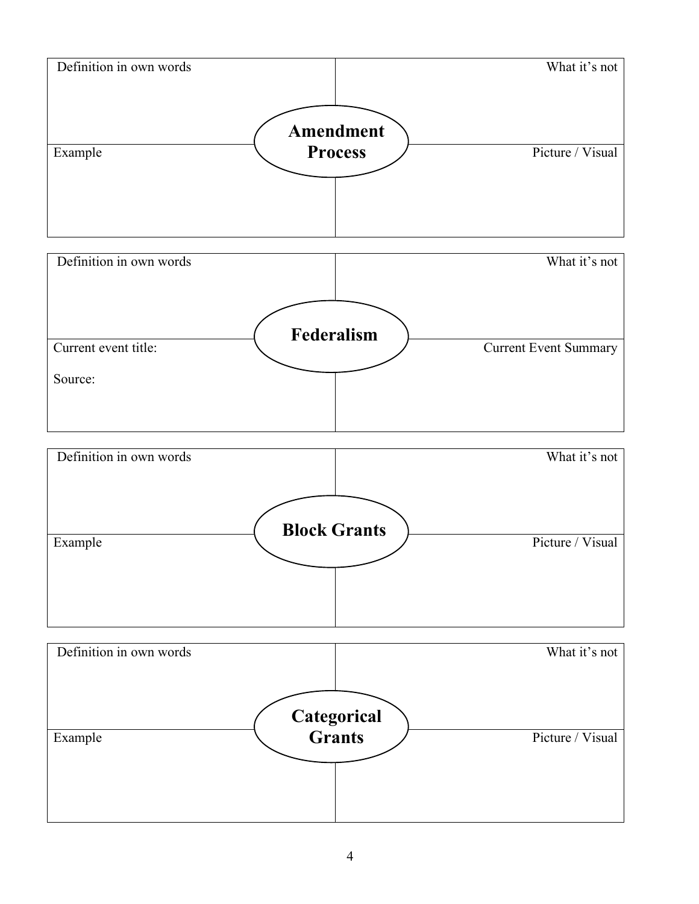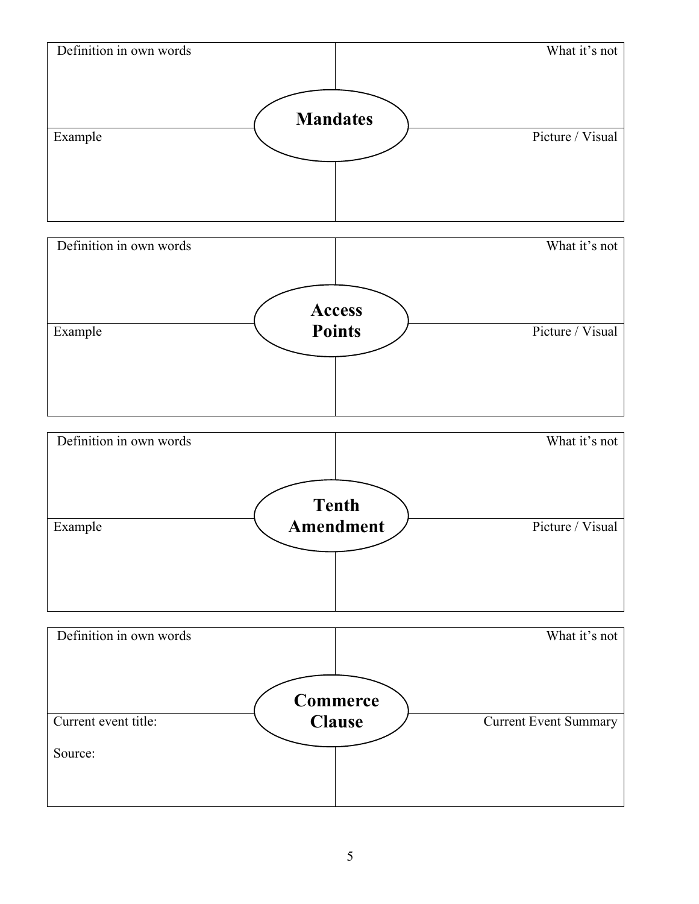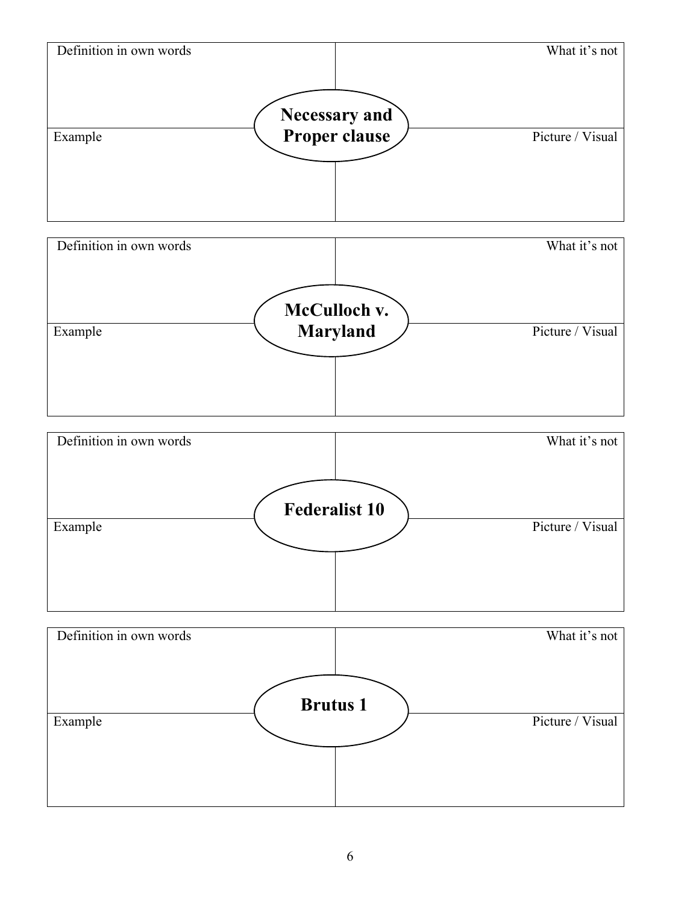